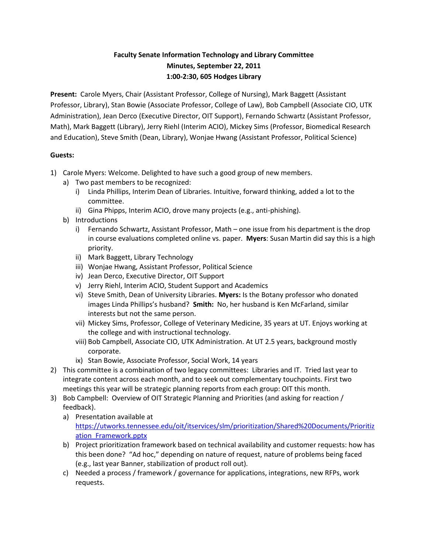## **Faculty Senate Information Technology and Library Committee Minutes, September 22, 2011 1:00-2:30, 605 Hodges Library**

**Present:** Carole Myers, Chair (Assistant Professor, College of Nursing), Mark Baggett (Assistant Professor, Library), Stan Bowie (Associate Professor, College of Law), Bob Campbell (Associate CIO, UTK Administration), Jean Derco (Executive Director, OIT Support), Fernando Schwartz (Assistant Professor, Math), Mark Baggett (Library), Jerry Riehl (Interim ACIO), Mickey Sims (Professor, Biomedical Research and Education), Steve Smith (Dean, Library), Wonjae Hwang (Assistant Professor, Political Science)

## **Guests:**

- 1) Carole Myers: Welcome. Delighted to have such a good group of new members.
	- a) Two past members to be recognized:
		- i) Linda Phillips, Interim Dean of Libraries. Intuitive, forward thinking, added a lot to the committee.
		- ii) Gina Phipps, Interim ACIO, drove many projects (e.g., anti-phishing).
	- b) Introductions
		- i) Fernando Schwartz, Assistant Professor, Math one issue from his department is the drop in course evaluations completed online vs. paper. **Myers**: Susan Martin did say this is a high priority.
		- ii) Mark Baggett, Library Technology
		- iii) Wonjae Hwang, Assistant Professor, Political Science
		- iv) Jean Derco, Executive Director, OIT Support
		- v) Jerry Riehl, Interim ACIO, Student Support and Academics
		- vi) Steve Smith, Dean of University Libraries. **Myers:** Is the Botany professor who donated images Linda Phillips's husband? **Smith:** No, her husband is Ken McFarland, similar interests but not the same person.
		- vii) Mickey Sims, Professor, College of Veterinary Medicine, 35 years at UT. Enjoys working at the college and with instructional technology.
		- viii) Bob Campbell, Associate CIO, UTK Administration. At UT 2.5 years, background mostly corporate.
		- ix) Stan Bowie, Associate Professor, Social Work, 14 years
- 2) This committee is a combination of two legacy committees: Libraries and IT. Tried last year to integrate content across each month, and to seek out complementary touchpoints. First two meetings this year will be strategic planning reports from each group: OIT this month.
- 3) Bob Campbell: Overview of OIT Strategic Planning and Priorities (and asking for reaction / feedback).
	- a) Presentation available at [https://utworks.tennessee.edu/oit/itservices/slm/prioritization/Shared%20Documents/Prioritiz](https://utworks.tennessee.edu/oit/itservices/slm/prioritization/Shared%20Documents/Prioritization_Framework.pptx) [ation\\_Framework.pptx](https://utworks.tennessee.edu/oit/itservices/slm/prioritization/Shared%20Documents/Prioritization_Framework.pptx)
	- b) Project prioritization framework based on technical availability and customer requests: how has this been done? "Ad hoc," depending on nature of request, nature of problems being faced (e.g., last year Banner, stabilization of product roll out).
	- c) Needed a process / framework / governance for applications, integrations, new RFPs, work requests.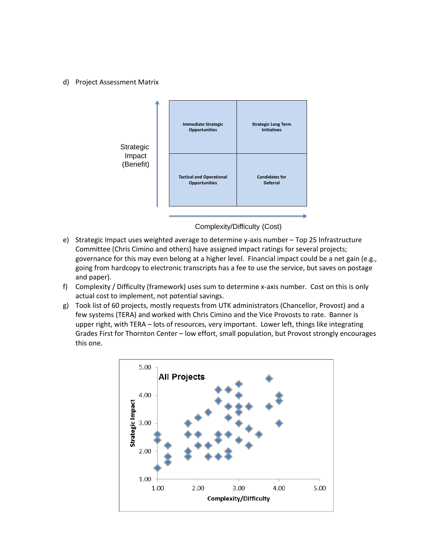## d) Project Assessment Matrix



Complexity/Difficulty (Cost)

- e) Strategic Impact uses weighted average to determine y-axis number Top 25 Infrastructure Committee (Chris Cimino and others) have assigned impact ratings for several projects; governance for this may even belong at a higher level. Financial impact could be a net gain (e.g., going from hardcopy to electronic transcripts has a fee to use the service, but saves on postage and paper).
- f) Complexity / Difficulty (framework) uses sum to determine x-axis number. Cost on this is only actual cost to implement, not potential savings.
- g) Took list of 60 projects, mostly requests from UTK administrators (Chancellor, Provost) and a few systems (TERA) and worked with Chris Cimino and the Vice Provosts to rate. Banner is upper right, with TERA – lots of resources, very important. Lower left, things like integrating Grades First for Thornton Center – low effort, small population, but Provost strongly encourages this one.

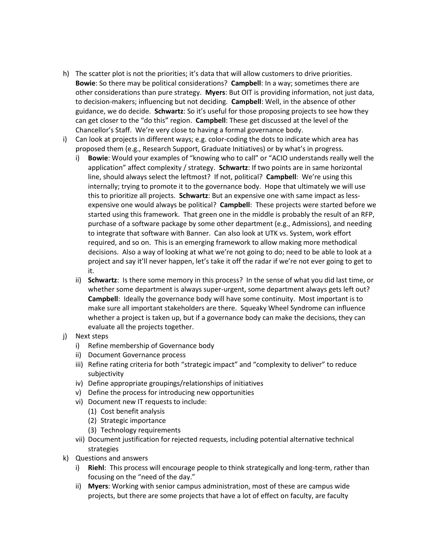- h) The scatter plot is not the priorities; it's data that will allow customers to drive priorities. **Bowie**: So there may be political considerations? **Campbell**: In a way; sometimes there are other considerations than pure strategy. **Myers**: But OIT is providing information, not just data, to decision-makers; influencing but not deciding. **Campbell**: Well, in the absence of other guidance, we do decide. **Schwartz**: So it's useful for those proposing projects to see how they can get closer to the "do this" region. **Campbell**: These get discussed at the level of the Chancellor's Staff. We're very close to having a formal governance body.
- i) Can look at projects in different ways; e.g. color-coding the dots to indicate which area has proposed them (e.g., Research Support, Graduate Initiatives) or by what's in progress.
	- i) **Bowie**: Would your examples of "knowing who to call" or "ACIO understands really well the application" affect complexity / strategy. **Schwartz**: If two points are in same horizontal line, should always select the leftmost? If not, political? **Campbell**: We're using this internally; trying to promote it to the governance body. Hope that ultimately we will use this to prioritize all projects. **Schwartz**: But an expensive one with same impact as lessexpensive one would always be political? **Campbell**: These projects were started before we started using this framework. That green one in the middle is probably the result of an RFP, purchase of a software package by some other department (e.g., Admissions), and needing to integrate that software with Banner. Can also look at UTK vs. System, work effort required, and so on. This is an emerging framework to allow making more methodical decisions. Also a way of looking at what we're not going to do; need to be able to look at a project and say it'll never happen, let's take it off the radar if we're not ever going to get to it.
	- ii) **Schwartz**: Is there some memory in this process? In the sense of what you did last time, or whether some department is always super-urgent, some department always gets left out? **Campbell**: Ideally the governance body will have some continuity. Most important is to make sure all important stakeholders are there. Squeaky Wheel Syndrome can influence whether a project is taken up, but if a governance body can make the decisions, they can evaluate all the projects together.
- j) Next steps
	- i) Refine membership of Governance body
	- ii) Document Governance process
	- iii) Refine rating criteria for both "strategic impact" and "complexity to deliver" to reduce subjectivity
	- iv) Define appropriate groupings/relationships of initiatives
	- v) Define the process for introducing new opportunities
	- vi) Document new IT requests to include:
		- (1) Cost benefit analysis
		- (2) Strategic importance
		- (3) Technology requirements
	- vii) Document justification for rejected requests, including potential alternative technical strategies
- k) Questions and answers
	- i) **Riehl**: This process will encourage people to think strategically and long-term, rather than focusing on the "need of the day."
	- ii) **Myers**: Working with senior campus administration, most of these are campus wide projects, but there are some projects that have a lot of effect on faculty, are faculty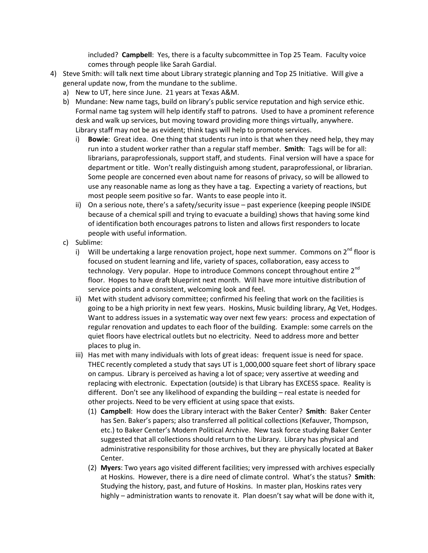included? **Campbell**: Yes, there is a faculty subcommittee in Top 25 Team. Faculty voice comes through people like Sarah Gardial.

- 4) Steve Smith: will talk next time about Library strategic planning and Top 25 Initiative. Will give a general update now, from the mundane to the sublime.
	- a) New to UT, here since June. 21 years at Texas A&M.
	- b) Mundane: New name tags, build on library's public service reputation and high service ethic. Formal name tag system will help identify staff to patrons. Used to have a prominent reference desk and walk up services, but moving toward providing more things virtually, anywhere. Library staff may not be as evident; think tags will help to promote services.
		- i) **Bowie**: Great idea. One thing that students run into is that when they need help, they may run into a student worker rather than a regular staff member. **Smith**: Tags will be for all: librarians, paraprofessionals, support staff, and students. Final version will have a space for department or title. Won't really distinguish among student, paraprofessional, or librarian. Some people are concerned even about name for reasons of privacy, so will be allowed to use any reasonable name as long as they have a tag. Expecting a variety of reactions, but most people seem positive so far. Wants to ease people into it.
		- ii) On a serious note, there's a safety/security issue past experience (keeping people INSIDE because of a chemical spill and trying to evacuate a building) shows that having some kind of identification both encourages patrons to listen and allows first responders to locate people with useful information.
	- c) Sublime:
		- i) Will be undertaking a large renovation project, hope next summer. Commons on  $2^{nd}$  floor is focused on student learning and life, variety of spaces, collaboration, easy access to technology. Very popular. Hope to introduce Commons concept throughout entire 2<sup>nd</sup> floor. Hopes to have draft blueprint next month. Will have more intuitive distribution of service points and a consistent, welcoming look and feel.
		- ii) Met with student advisory committee; confirmed his feeling that work on the facilities is going to be a high priority in next few years. Hoskins, Music building library, Ag Vet, Hodges. Want to address issues in a systematic way over next few years: process and expectation of regular renovation and updates to each floor of the building. Example: some carrels on the quiet floors have electrical outlets but no electricity. Need to address more and better places to plug in.
		- iii) Has met with many individuals with lots of great ideas: frequent issue is need for space. THEC recently completed a study that says UT is 1,000,000 square feet short of library space on campus. Library is perceived as having a lot of space; very assertive at weeding and replacing with electronic. Expectation (outside) is that Library has EXCESS space. Reality is different. Don't see any likelihood of expanding the building – real estate is needed for other projects. Need to be very efficient at using space that exists.
			- (1) **Campbell**: How does the Library interact with the Baker Center? **Smith**: Baker Center has Sen. Baker's papers; also transferred all political collections (Kefauver, Thompson, etc.) to Baker Center's Modern Political Archive. New task force studying Baker Center suggested that all collections should return to the Library. Library has physical and administrative responsibility for those archives, but they are physically located at Baker Center.
			- (2) **Myers**: Two years ago visited different facilities; very impressed with archives especially at Hoskins. However, there is a dire need of climate control. What's the status? **Smith**: Studying the history, past, and future of Hoskins. In master plan, Hoskins rates very highly – administration wants to renovate it. Plan doesn't say what will be done with it,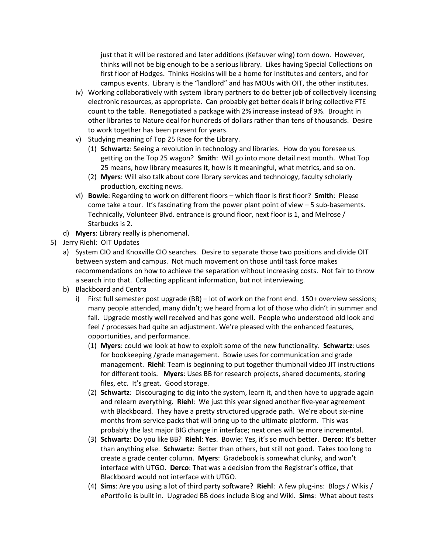just that it will be restored and later additions (Kefauver wing) torn down. However, thinks will not be big enough to be a serious library. Likes having Special Collections on first floor of Hodges. Thinks Hoskins will be a home for institutes and centers, and for campus events. Library is the "landlord" and has MOUs with OIT, the other institutes.

- iv) Working collaboratively with system library partners to do better job of collectively licensing electronic resources, as appropriate. Can probably get better deals if bring collective FTE count to the table. Renegotiated a package with 2% increase instead of 9%. Brought in other libraries to Nature deal for hundreds of dollars rather than tens of thousands. Desire to work together has been present for years.
- v) Studying meaning of Top 25 Race for the Library.
	- (1) **Schwartz**: Seeing a revolution in technology and libraries. How do you foresee us getting on the Top 25 wagon? **Smith**: Will go into more detail next month. What Top 25 means, how library measures it, how is it meaningful, what metrics, and so on.
	- (2) **Myers**: Will also talk about core library services and technology, faculty scholarly production, exciting news.
- vi) **Bowie**: Regarding to work on different floors which floor is first floor? **Smith**: Please come take a tour. It's fascinating from the power plant point of view – 5 sub-basements. Technically, Volunteer Blvd. entrance is ground floor, next floor is 1, and Melrose / Starbucks is 2.
- d) **Myers**: Library really is phenomenal.
- 5) Jerry Riehl: OIT Updates
	- a) System CIO and Knoxville CIO searches. Desire to separate those two positions and divide OIT between system and campus. Not much movement on those until task force makes recommendations on how to achieve the separation without increasing costs. Not fair to throw a search into that. Collecting applicant information, but not interviewing.
	- b) Blackboard and Centra
		- i) First full semester post upgrade (BB) lot of work on the front end. 150+ overview sessions; many people attended, many didn't; we heard from a lot of those who didn't in summer and fall. Upgrade mostly well received and has gone well. People who understood old look and feel / processes had quite an adjustment. We're pleased with the enhanced features, opportunities, and performance.
			- (1) **Myers**: could we look at how to exploit some of the new functionality. **Schwartz**: uses for bookkeeping /grade management. Bowie uses for communication and grade management. **Riehl**: Team is beginning to put together thumbnail video JIT instructions for different tools. **Myers**: Uses BB for research projects, shared documents, storing files, etc. It's great. Good storage.
			- (2) **Schwartz**: Discouraging to dig into the system, learn it, and then have to upgrade again and relearn everything. **Riehl**: We just this year signed another five-year agreement with Blackboard. They have a pretty structured upgrade path. We're about six-nine months from service packs that will bring up to the ultimate platform. This was probably the last major BIG change in interface; next ones will be more incremental.
			- (3) **Schwartz**: Do you like BB? **Riehl**: **Yes**. Bowie: Yes, it's so much better. **Derco**: It's better than anything else. **Schwartz**: Better than others, but still not good. Takes too long to create a grade center column. **Myers**: Gradebook is somewhat clunky, and won't interface with UTGO. **Derco**: That was a decision from the Registrar's office, that Blackboard would not interface with UTGO.
			- (4) **Sims**: Are you using a lot of third party software? **Riehl**: A few plug-ins: Blogs / Wikis / ePortfolio is built in. Upgraded BB does include Blog and Wiki. **Sims**: What about tests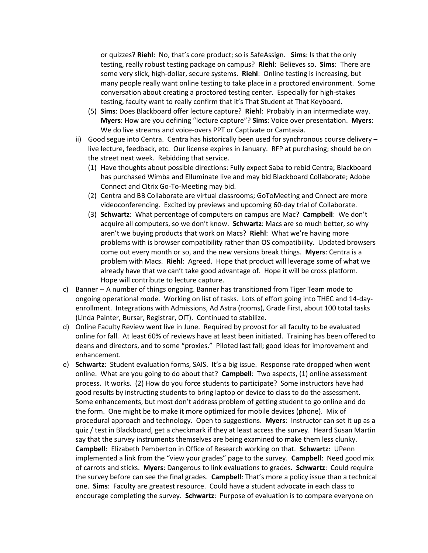or quizzes? **Riehl**: No, that's core product; so is SafeAssign. **Sims**: Is that the only testing, really robust testing package on campus? **Riehl**: Believes so. **Sims**: There are some very slick, high-dollar, secure systems. **Riehl**: Online testing is increasing, but many people really want online testing to take place in a proctored environment. Some conversation about creating a proctored testing center. Especially for high-stakes testing, faculty want to really confirm that it's That Student at That Keyboard.

- (5) **Sims**: Does Blackboard offer lecture capture? **Riehl**: Probably in an intermediate way. **Myers**: How are you defining "lecture capture"? **Sims**: Voice over presentation. **Myers**: We do live streams and voice-overs PPT or Captivate or Camtasia.
- ii) Good segue into Centra. Centra has historically been used for synchronous course delivery live lecture, feedback, etc. Our license expires in January. RFP at purchasing; should be on the street next week. Rebidding that service.
	- (1) Have thoughts about possible directions: Fully expect Saba to rebid Centra; Blackboard has purchased Wimba and Elluminate live and may bid Blackboard Collaborate; Adobe Connect and Citrix Go-To-Meeting may bid.
	- (2) Centra and BB Collaborate are virtual classrooms; GoToMeeting and Cnnect are more videoconferencing. Excited by previews and upcoming 60-day trial of Collaborate.
	- (3) **Schwartz**: What percentage of computers on campus are Mac? **Campbell**: We don't acquire all computers, so we don't know. **Schwartz**: Macs are so much better, so why aren't we buying products that work on Macs? **Riehl**: What we're having more problems with is browser compatibility rather than OS compatibility. Updated browsers come out every month or so, and the new versions break things. **Myers**: Centra is a problem with Macs. **Riehl**: Agreed. Hope that product will leverage some of what we already have that we can't take good advantage of. Hope it will be cross platform. Hope will contribute to lecture capture.
- c) Banner -- A number of things ongoing. Banner has transitioned from Tiger Team mode to ongoing operational mode. Working on list of tasks. Lots of effort going into THEC and 14-dayenrollment. Integrations with Admissions, Ad Astra (rooms), Grade First, about 100 total tasks (Linda Painter, Bursar, Registrar, OIT). Continued to stabilize.
- d) Online Faculty Review went live in June. Required by provost for all faculty to be evaluated online for fall. At least 60% of reviews have at least been initiated. Training has been offered to deans and directors, and to some "proxies." Piloted last fall; good ideas for improvement and enhancement.
- e) **Schwartz**: Student evaluation forms, SAIS. It's a big issue. Response rate dropped when went online. What are you going to do about that? **Campbell**: Two aspects, (1) online assessment process. It works. (2) How do you force students to participate? Some instructors have had good results by instructing students to bring laptop or device to class to do the assessment. Some enhancements, but most don't address problem of getting student to go online and do the form. One might be to make it more optimized for mobile devices (phone). Mix of procedural approach and technology. Open to suggestions. **Myers**: Instructor can set it up as a quiz / test in Blackboard, get a checkmark if they at least access the survey. Heard Susan Martin say that the survey instruments themselves are being examined to make them less clunky. **Campbell**: Elizabeth Pemberton in Office of Research working on that. **Schwartz**: UPenn implemented a link from the "view your grades" page to the survey. **Campbell**: Need good mix of carrots and sticks. **Myers**: Dangerous to link evaluations to grades. **Schwartz**: Could require the survey before can see the final grades. **Campbell**: That's more a policy issue than a technical one. **Sims**: Faculty are greatest resource. Could have a student advocate in each class to encourage completing the survey. **Schwartz**: Purpose of evaluation is to compare everyone on